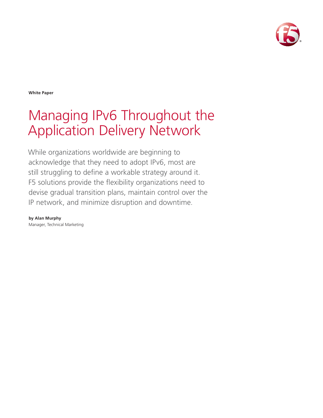

**White Paper**

# Managing IPv6 Throughout the Application Delivery Network

While organizations worldwide are beginning to acknowledge that they need to adopt IPv6, most are still struggling to define a workable strategy around it. F5 solutions provide the flexibility organizations need to devise gradual transition plans, maintain control over the IP network, and minimize disruption and downtime.

**by Alan Murphy** Manager, Technical Marketing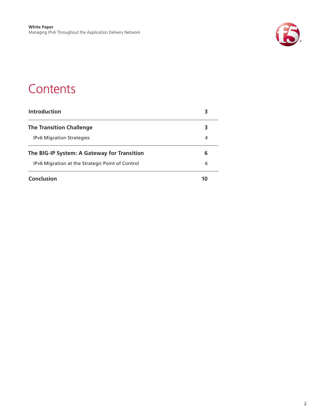

### **Contents**

| Introduction                                     | 3  |
|--------------------------------------------------|----|
| <b>The Transition Challenge</b>                  | 3  |
| <b>IPv6 Migration Strategies</b>                 | 4  |
| The BIG-IP System: A Gateway for Transition      | 6  |
| IPv6 Migration at the Strategic Point of Control | 6  |
| Conclusion                                       | 10 |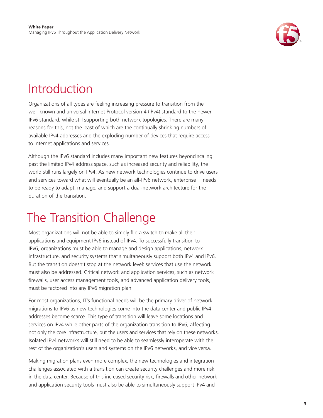

## <span id="page-2-0"></span>Introduction

Organizations of all types are feeling increasing pressure to transition from the well-known and universal Internet Protocol version 4 (IPv4) standard to the newer IPv6 standard, while still supporting both network topologies. There are many reasons for this, not the least of which are the continually shrinking numbers of available IPv4 addresses and the exploding number of devices that require access to Internet applications and services.

Although the IPv6 standard includes many important new features beyond scaling past the limited IPv4 address space, such as increased security and reliability, the world still runs largely on IPv4. As new network technologies continue to drive users and services toward what will eventually be an all-IPv6 network, enterprise IT needs to be ready to adapt, manage, and support a dual-network architecture for the duration of the transition.

## The Transition Challenge

Most organizations will not be able to simply flip a switch to make all their applications and equipment IPv6 instead of IPv4. To successfully transition to IPv6, organizations must be able to manage and design applications, network infrastructure, and security systems that simultaneously support both IPv4 and IPv6. But the transition doesn't stop at the network level: services that use the network must also be addressed. Critical network and application services, such as network firewalls, user access management tools, and advanced application delivery tools, must be factored into any IPv6 migration plan.

For most organizations, IT's functional needs will be the primary driver of network migrations to IPv6 as new technologies come into the data center and public IPv4 addresses become scarce. This type of transition will leave some locations and services on IPv4 while other parts of the organization transition to IPv6, affecting not only the core infrastructure, but the users and services that rely on these networks. Isolated IPv4 networks will still need to be able to seamlessly interoperate with the rest of the organization's users and systems on the IPv6 networks, and vice versa.

Making migration plans even more complex, the new technologies and integration challenges associated with a transition can create security challenges and more risk in the data center. Because of this increased security risk, firewalls and other network and application security tools must also be able to simultaneously support IPv4 and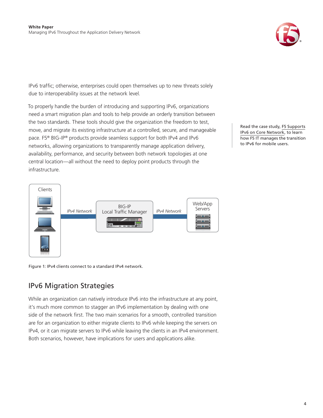

<span id="page-3-0"></span>IPv6 traffic; otherwise, enterprises could open themselves up to new threats solely due to interoperability issues at the network level.

To properly handle the burden of introducing and supporting IPv6, organizations need a smart migration plan and tools to help provide an orderly transition between the two standards. These tools should give the organization the freedom to test, move, and migrate its existing infrastructure at a controlled, secure, and manageable pace. F5® BIG-IP® products provide seamless support for both IPv4 and IPv6 networks, allowing organizations to transparently manage application delivery, availability, performance, and security between both network topologies at one central location—all without the need to deploy point products through the infrastructure.



Figure 1: IPv4 clients connect to a standard IPv4 network.

### IPv6 Migration Strategies

While an organization can natively introduce IPv6 into the infrastructure at any point, it's much more common to stagger an IPv6 implementation by dealing with one side of the network first. The two main scenarios for a smooth, controlled transition are for an organization to either migrate clients to IPv6 while keeping the servers on IPv4, or it can migrate servers to IPv6 while leaving the clients in an IPv4 environment. Both scenarios, however, have implications for users and applications alike.

Read the case study, [F5 Supports](http://www.f5.com/pdf/case-studies/f5-ipv6-cs.pdf) [IPv6 on Core Network](http://www.f5.com/pdf/case-studies/f5-ipv6-cs.pdf), to learn how F5 IT manages the transition to IPv6 for mobile users.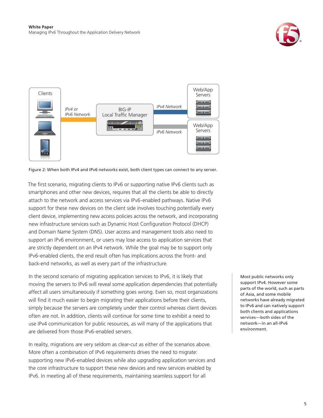





The first scenario, migrating clients to IPv6 or supporting native IPv6 clients such as smartphones and other new devices, requires that all the clients be able to directly attach to the network and access services via IPv6-enabled pathways. Native IPv6 support for these new devices on the client side involves touching potentially every client device, implementing new access policies across the network, and incorporating new infrastructure services such as Dynamic Host Configuration Protocol (DHCP) and Domain Name System (DNS). User access and management tools also need to support an IPv6 environment, or users may lose access to application services that are strictly dependent on an IPv4 network. While the goal may be to support only IPv6-enabled clients, the end result often has implications across the front- and back-end networks, as well as every part of the infrastructure.

In the second scenario of migrating application services to IPv6, it is likely that moving the servers to IPv6 will reveal some application dependencies that potentially affect all users simultaneously if something goes wrong. Even so, most organizations will find it much easier to begin migrating their applications before their clients, simply because the servers are completely under their control whereas client devices often are not. In addition, clients will continue for some time to exhibit a need to use IPv4 communication for public resources, as will many of the applications that are delivered from those IPv6-enabled servers.

In reality, migrations are very seldom as clear-cut as either of the scenarios above. More often a combination of IPv6 requirements drives the need to migrate: supporting new IPv6-enabled devices while also upgrading application services and the core infrastructure to support these new devices and new services enabled by IPv6. In meeting all of these requirements, maintaining seamless support for all

Most public networks only support IPv4. However some parts of the world, such as parts of Asia, and some mobile networks have already migrated to IPv6 and can natively support both clients and applications services—both sides of the network—in an all-IPv6 environment.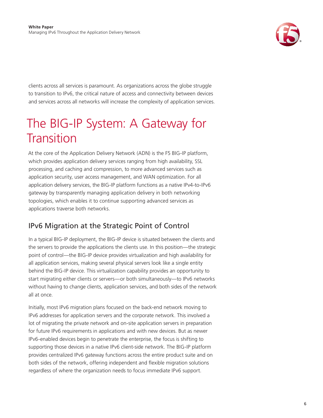

<span id="page-5-0"></span>clients across all services is paramount. As organizations across the globe struggle to transition to IPv6, the critical nature of access and connectivity between devices and services across all networks will increase the complexity of application services.

## The BIG-IP System: A Gateway for **Transition**

At the core of the Application Delivery Network (ADN) is the F5 BIG-IP platform, which provides application delivery services ranging from high availability, SSL processing, and caching and compression, to more advanced services such as application security, user access management, and WAN optimization. For all application delivery services, the BIG-IP platform functions as a native IPv4-to-IPv6 gateway by transparently managing application delivery in both networking topologies, which enables it to continue supporting advanced services as applications traverse both networks.

### IPv6 Migration at the Strategic Point of Control

In a typical BIG-IP deployment, the BIG-IP device is situated between the clients and the servers to provide the applications the clients use. In this position—the strategic point of control—the BIG-IP device provides virtualization and high availability for all application services, making several physical servers look like a single entity behind the BIG-IP device. This virtualization capability provides an opportunity to start migrating either clients or servers—or both simultaneously—to IPv6 networks without having to change clients, application services, and both sides of the network all at once.

Initially, most IPv6 migration plans focused on the back-end network moving to IPv6 addresses for application servers and the corporate network. This involved a lot of migrating the private network and on-site application servers in preparation for future IPv6 requirements in applications and with new devices. But as newer IPv6-enabled devices begin to penetrate the enterprise, the focus is shifting to supporting those devices in a native IPv6 client-side network. The BIG-IP platform provides centralized IPv6 gateway functions across the entire product suite and on both sides of the network, offering independent and flexible migration solutions regardless of where the organization needs to focus immediate IPv6 support.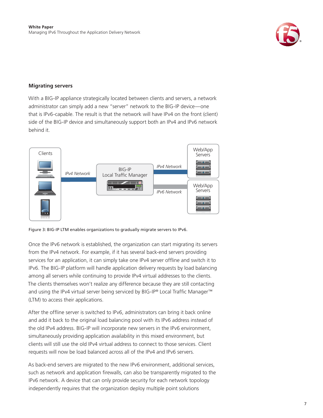

#### **Migrating servers**

With a BIG-IP appliance strategically located between clients and servers, a network administrator can simply add a new "server" network to the BIG-IP device—one that is IPv6-capable. The result is that the network will have IPv4 on the front (client) side of the BIG-IP device and simultaneously support both an IPv4 and IPv6 network behind it.





Once the IPv6 network is established, the organization can start migrating its servers from the IPv4 network. For example, if it has several back-end servers providing services for an application, it can simply take one IPv4 server offline and switch it to IPv6. The BIG-IP platform will handle application delivery requests by load balancing among all servers while continuing to provide IPv4 virtual addresses to the clients. The clients themselves won't realize any difference because they are still contacting and using the IPv4 virtual server being serviced by BIG-IP® Local Traffic Manager™ (LTM) to access their applications.

After the offline server is switched to IPv6, administrators can bring it back online and add it back to the original load balancing pool with its IPv6 address instead of the old IPv4 address. BIG-IP will incorporate new servers in the IPv6 environment, simultaneously providing application availability in this mixed environment, but clients will still use the old IPv4 virtual address to connect to those services. Client requests will now be load balanced across all of the IPv4 and IPv6 servers.

As back-end servers are migrated to the new IPv6 environment, additional services, such as network and application firewalls, can also be transparently migrated to the IPv6 network. A device that can only provide security for each network topology independently requires that the organization deploy multiple point solutions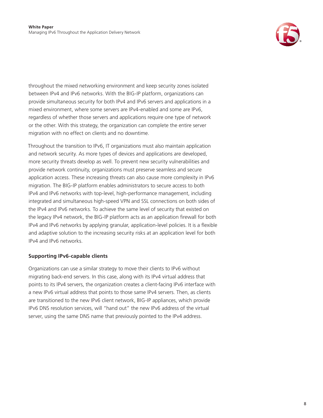

throughout the mixed networking environment and keep security zones isolated between IPv4 and IPv6 networks. With the BIG-IP platform, organizations can provide simultaneous security for both IPv4 and IPv6 servers and applications in a mixed environment, where some servers are IPv4-enabled and some are IPv6, regardless of whether those servers and applications require one type of network or the other. With this strategy, the organization can complete the entire server migration with no effect on clients and no downtime.

Throughout the transition to IPv6, IT organizations must also maintain application and network security. As more types of devices and applications are developed, more security threats develop as well. To prevent new security vulnerabilities and provide network continuity, organizations must preserve seamless and secure application access. These increasing threats can also cause more complexity in IPv6 migration. The BIG-IP platform enables administrators to secure access to both IPv4 and IPv6 networks with top-level, high-performance management, including integrated and simultaneous high-speed VPN and SSL connections on both sides of the IPv4 and IPv6 networks. To achieve the same level of security that existed on the legacy IPv4 network, the BIG-IP platform acts as an application firewall for both IPv4 and IPv6 networks by applying granular, application-level policies. It is a flexible and adaptive solution to the increasing security risks at an application level for both IPv4 and IPv6 networks.

### **Supporting IPv6-capable clients**

Organizations can use a similar strategy to move their clients to IPv6 without migrating back-end servers. In this case, along with its IPv4 virtual address that points to its IPv4 servers, the organization creates a client-facing IPv6 interface with a new IPv6 virtual address that points to those same IPv4 servers. Then, as clients are transitioned to the new IPv6 client network, BIG-IP appliances, which provide IPv6 DNS resolution services, will "hand out" the new IPv6 address of the virtual server, using the same DNS name that previously pointed to the IPv4 address.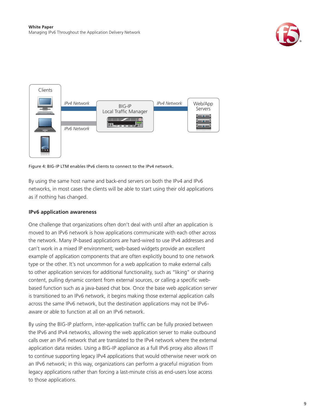



Figure 4: BIG-IP LTM enables IPv6 clients to connect to the IPv4 network.

By using the same host name and back-end servers on both the IPv4 and IPv6 networks, in most cases the clients will be able to start using their old applications as if nothing has changed.

### **IPv6 application awareness**

One challenge that organizations often don't deal with until after an application is moved to an IPv6 network is how applications communicate with each other across the network. Many IP-based applications are hard-wired to use IPv4 addresses and can't work in a mixed IP environment; web-based widgets provide an excellent example of application components that are often explicitly bound to one network type or the other. It's not uncommon for a web application to make external calls to other application services for additional functionality, such as "liking" or sharing content, pulling dynamic content from external sources, or calling a specific webbased function such as a java-based chat box. Once the base web application server is transitioned to an IPv6 network, it begins making those external application calls across the same IPv6 network, but the destination applications may not be IPv6 aware or able to function at all on an IPv6 network.

By using the BIG-IP platform, inter-application traffic can be fully proxied between the IPv6 and IPv4 networks, allowing the web application server to make outbound calls over an IPv6 network that are translated to the IPv4 network where the external application data resides. Using a BIG-IP appliance as a full IPv6 proxy also allows IT to continue supporting legacy IPv4 applications that would otherwise never work on an IPv6 network; in this way, organizations can perform a graceful migration from legacy applications rather than forcing a last-minute crisis as end-users lose access to those applications.